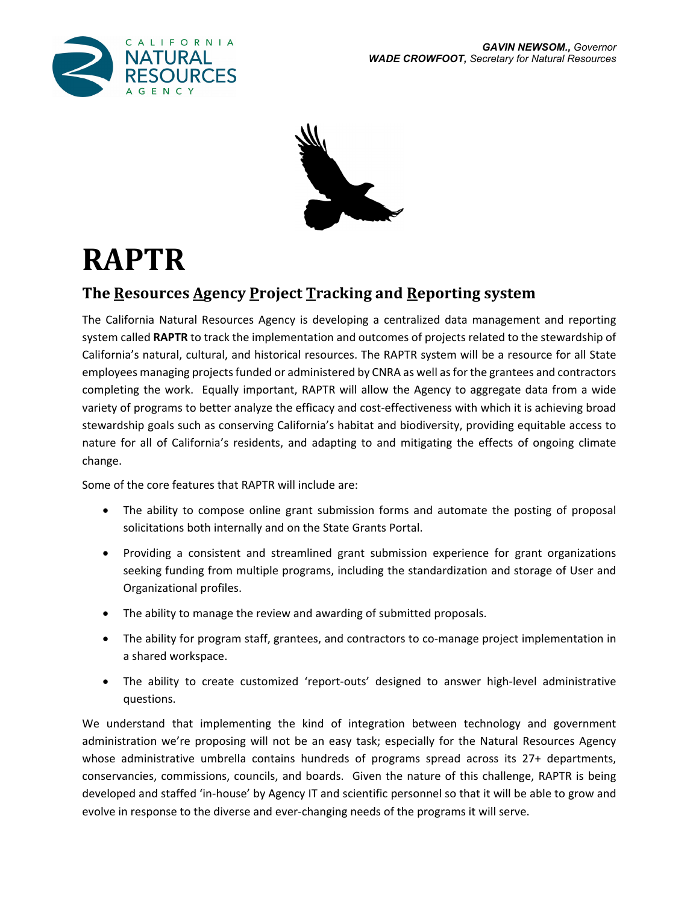



# **RAPTR**

## **The Resources Agency Project Tracking and Reporting system**

The California Natural Resources Agency is developing a centralized data management and reporting system called **RAPTR** to track the implementation and outcomes of projects related to the stewardship of California's natural, cultural, and historical resources. The RAPTR system will be a resource for all State employees managing projects funded or administered by CNRA as well as for the grantees and contractors completing the work. Equally important, RAPTR will allow the Agency to aggregate data from a wide variety of programs to better analyze the efficacy and cost-effectiveness with which it is achieving broad stewardship goals such as conserving California's habitat and biodiversity, providing equitable access to nature for all of California's residents, and adapting to and mitigating the effects of ongoing climate change.

Some of the core features that RAPTR will include are:

- The ability to compose online grant submission forms and automate the posting of proposal solicitations both internally and on the State Grants Portal.
- Providing a consistent and streamlined grant submission experience for grant organizations seeking funding from multiple programs, including the standardization and storage of User and Organizational profiles.
- The ability to manage the review and awarding of submitted proposals.
- The ability for program staff, grantees, and contractors to co-manage project implementation in a shared workspace.
- The ability to create customized 'report-outs' designed to answer high-level administrative questions.

We understand that implementing the kind of integration between technology and government administration we're proposing will not be an easy task; especially for the Natural Resources Agency whose administrative umbrella contains hundreds of programs spread across its 27+ departments, conservancies, commissions, councils, and boards. Given the nature of this challenge, RAPTR is being developed and staffed 'in‐house' by Agency IT and scientific personnel so that it will be able to grow and evolve in response to the diverse and ever‐changing needs of the programs it will serve.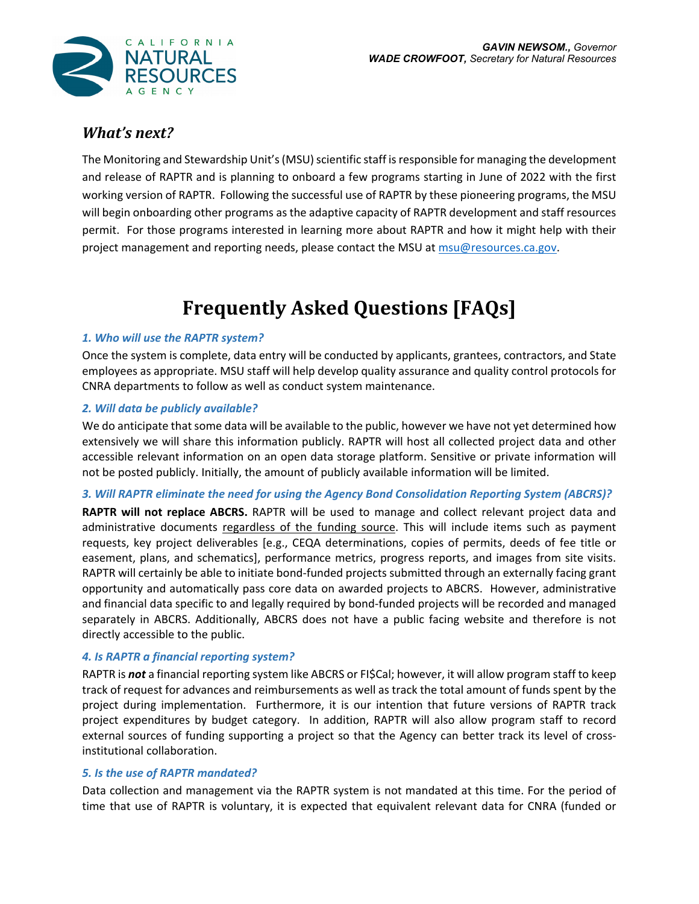

### *What's next?*

The Monitoring and Stewardship Unit's (MSU) scientific staff is responsible for managing the development and release of RAPTR and is planning to onboard a few programs starting in June of 2022 with the first working version of RAPTR. Following the successful use of RAPTR by these pioneering programs, the MSU will begin onboarding other programs as the adaptive capacity of RAPTR development and staff resources permit. For those programs interested in learning more about RAPTR and how it might help with their project management and reporting needs, please contact the MSU at msu@resources.ca.gov.

# **Frequently Asked Questions [FAQs]**

#### *1. Who will use the RAPTR system?*

Once the system is complete, data entry will be conducted by applicants, grantees, contractors, and State employees as appropriate. MSU staff will help develop quality assurance and quality control protocols for CNRA departments to follow as well as conduct system maintenance.

#### *2. Will data be publicly available?*

We do anticipate that some data will be available to the public, however we have not yet determined how extensively we will share this information publicly. RAPTR will host all collected project data and other accessible relevant information on an open data storage platform. Sensitive or private information will not be posted publicly. Initially, the amount of publicly available information will be limited.

#### *3. Will RAPTR eliminate the need for using the Agency Bond Consolidation Reporting System (ABCRS)?*

**RAPTR will not replace ABCRS.** RAPTR will be used to manage and collect relevant project data and administrative documents regardless of the funding source. This will include items such as payment requests, key project deliverables [e.g., CEQA determinations, copies of permits, deeds of fee title or easement, plans, and schematics], performance metrics, progress reports, and images from site visits. RAPTR will certainly be able to initiate bond-funded projects submitted through an externally facing grant opportunity and automatically pass core data on awarded projects to ABCRS. However, administrative and financial data specific to and legally required by bond‐funded projects will be recorded and managed separately in ABCRS. Additionally, ABCRS does not have a public facing website and therefore is not directly accessible to the public.

#### *4. Is RAPTR a financial reporting system?*

RAPTR is *not* a financial reporting system like ABCRS or FI\$Cal; however, it will allow program staff to keep track of request for advances and reimbursements as well as track the total amount of funds spent by the project during implementation. Furthermore, it is our intention that future versions of RAPTR track project expenditures by budget category. In addition, RAPTR will also allow program staff to record external sources of funding supporting a project so that the Agency can better track its level of cross‐ institutional collaboration.

#### *5. Is the use of RAPTR mandated?*

Data collection and management via the RAPTR system is not mandated at this time. For the period of time that use of RAPTR is voluntary, it is expected that equivalent relevant data for CNRA (funded or